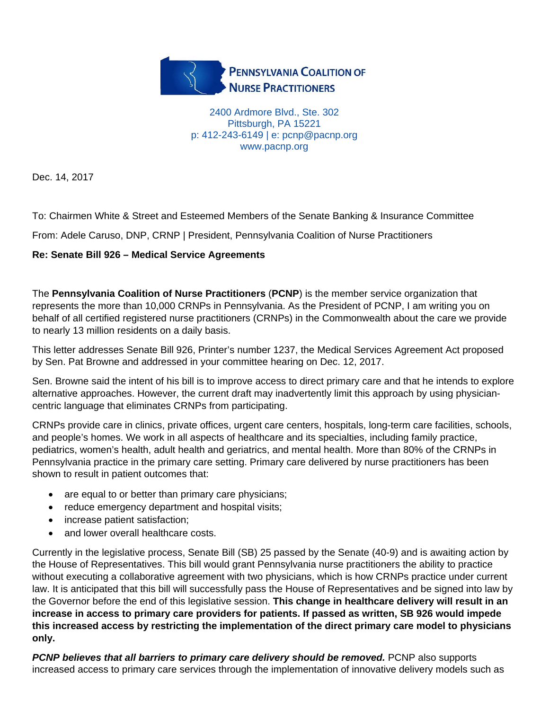

2400 Ardmore Blvd., Ste. 302 Pittsburgh, PA 15221 p: 412-243-6149 | e: pcnp@pacnp.org www.pacnp.org

Dec. 14, 2017

To: Chairmen White & Street and Esteemed Members of the Senate Banking & Insurance Committee

From: Adele Caruso, DNP, CRNP | President, Pennsylvania Coalition of Nurse Practitioners

## **Re: Senate Bill 926 – Medical Service Agreements**

The **Pennsylvania Coalition of Nurse Practitioners** (**PCNP**) is the member service organization that represents the more than 10,000 CRNPs in Pennsylvania. As the President of PCNP, I am writing you on behalf of all certified registered nurse practitioners (CRNPs) in the Commonwealth about the care we provide to nearly 13 million residents on a daily basis.

This letter addresses Senate Bill 926, Printer's number 1237, the Medical Services Agreement Act proposed by Sen. Pat Browne and addressed in your committee hearing on Dec. 12, 2017.

Sen. Browne said the intent of his bill is to improve access to direct primary care and that he intends to explore alternative approaches. However, the current draft may inadvertently limit this approach by using physiciancentric language that eliminates CRNPs from participating.

CRNPs provide care in clinics, private offices, urgent care centers, hospitals, long-term care facilities, schools, and people's homes. We work in all aspects of healthcare and its specialties, including family practice, pediatrics, women's health, adult health and geriatrics, and mental health. More than 80% of the CRNPs in Pennsylvania practice in the primary care setting. Primary care delivered by nurse practitioners has been shown to result in patient outcomes that:

- are equal to or better than primary care physicians;
- reduce emergency department and hospital visits;
- increase patient satisfaction:
- and lower overall healthcare costs.

Currently in the legislative process, Senate Bill (SB) 25 passed by the Senate (40-9) and is awaiting action by the House of Representatives. This bill would grant Pennsylvania nurse practitioners the ability to practice without executing a collaborative agreement with two physicians, which is how CRNPs practice under current law. It is anticipated that this bill will successfully pass the House of Representatives and be signed into law by the Governor before the end of this legislative session. **This change in healthcare delivery will result in an increase in access to primary care providers for patients. If passed as written, SB 926 would impede this increased access by restricting the implementation of the direct primary care model to physicians only.**

*PCNP believes that all barriers to primary care delivery should be removed.* PCNP also supports increased access to primary care services through the implementation of innovative delivery models such as